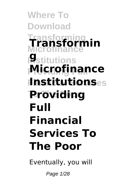**Where To Download Transforming Microfinance Transformin Institutions g Providing Full Microfinance Financial Services Institutions To The Poor Providing Full Financial Services To The Poor**

Eventually, you will

Page 1/28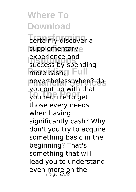**Tertainly discover a** supplementarye experience and<br>Success by sper **Prove cash.g** Full **Financial Services** nevertheless when? do you put up with the success by spending you put up with that those every needs when having significantly cash? Why don't you try to acquire something basic in the beginning? That's something that will lead you to understand even more on the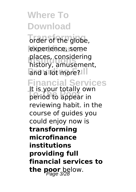order of the globe, experience, some **places, considering**<br>bistory amusemen and a lot more? history, amusement,

### **Financial Services**

**To The Poor** period to appear in It is your totally own reviewing habit. in the course of guides you could enjoy now is **transforming microfinance institutions providing full financial services to the poor** below.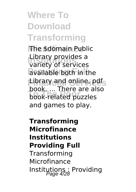# **Where To Download Transforming**

**The \$domain Public Institutions** variety of services available both in the **Financial Services** Library and online, pdf **Took.** ... There are an Library provides a book. ... There are also and games to play.

**Transforming Microfinance Institutions Providing Full Transforming** Microfinance Institutions : Providing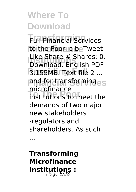**Transforming** Full Financial Services **Microfinance** to the Poor. c b. Tweet Like Share # Shares: 0<br>Download. English PDF **Providing Full** 3.155MB. Text file 2 ... **Financial Services** and for transforming **To The Poor** institutions to meet the Like Share # Shares: 0. microfinance demands of two major new stakeholders -regulators and shareholders. As such

...

**Transforming Microfinance Institutions :** Page 5/28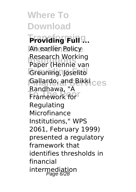**Where To Download Transforming Providing Full ... An earlier Policy Research working**<br>Paper (Hennie van Greuning, Joselito **Fallardo, and Bikki**ces **Tranework for** Research Working Randhawa, "A Regulating Microfinance Institutions," WPS 2061, February 1999) presented a regulatory framework that identifies thresholds in financial intermediation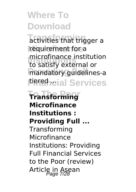**Transforming** activities that trigger a requirement for a **Institutions** to satisfy external or mandatory guidelines-a **Firmen**eial Services microfinance institution

**To The Poor Transforming Microfinance Institutions : Providing Full ...** Transforming Microfinance Institutions: Providing Full Financial Services to the Poor (review) Article in Asean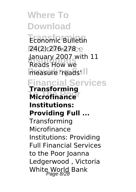**Where To Download Economic Bulletin Microfinance** 24(2):276-278 · **January 2007 with 11**<br>Reads How we **measure 'reads' Financial Services Microfinance** Reads How we **Transforming Institutions: Providing Full ... Transforming** Microfinance Institutions: Providing Full Financial Services to the Poor Joanna Ledgerwood , Victoria White World Bank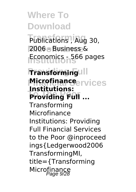Publications<sup>, Aug</sup> 30, **Microfinance** 2006 - Business & **Institutions** Economics - 566 pages

#### **Pransforming Microfinance**ervices **To The Poor Providing Full ... Institutions:**

Transforming Microfinance Institutions: Providing Full Financial Services to the Poor @inproceed ings{Ledgerwood2006 TransformingMI, title={Transforming Microfinance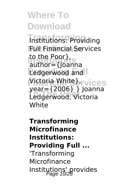**Transforming** Institutions: Providing **Full Financial Services ID** the Poor F, author={Joanna **Ledgerwood and Victoria White** *I*rvices **To The Poor** Ledgerwood, Victoria to the Poor}, year={2006} } Joanna **White** 

**Transforming Microfinance Institutions: Providing Full ...** 'Transforming Microfinance Institutions' provides Page 10/28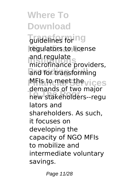**Transforming** regulators to license and regulate<br>microfinance providers, and for transforming **MFIs to meet the vices To The Poor** new stakeholders--regu and regulate demands of two major lators and shareholders. As such, it focuses on developing the capacity of NGO MFIs to mobilize and intermediate voluntary savings.

Page 11/28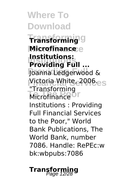**Where To Download Transforming Transforming Microfinance Microfinance Institutions Providing Full ...** Joanna Ledgerwood & **Victoria White, 2006.**<br>
<sub>Ser</sub> **Microfinance Institutions:** "Transforming Institutions : Providing Full Financial Services to the Poor," World Bank Publications, The World Bank, number 7086. Handle: RePEc:w

bk:wbpubs:7086

### **Transforming** Page 12/28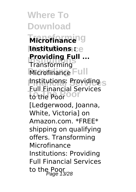**Where To Download Transforming Microfinance**

**Microfinance Institutions : Providing Full** Microfinance Full **Financial Services** Institutions: Providing **To The Poor** to the Poor **Providing Full ...** Full Financial Services [Ledgerwood, Joanna, White, Victoria] on Amazon.com. \*FREE\* shipping on qualifying offers. Transforming Microfinance Institutions: Providing Full Financial Services to the Poor<br>Page 13/28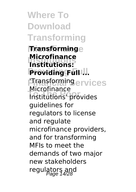**Where To Download Transforming Microfinance Transforming Institutions Institutions:** Providing Full ... *Einasformingervices* **To The Poor** Institutions' provides **Microfinance** Microfinance guidelines for regulators to license and regulate microfinance providers, and for transforming MFIs to meet the demands of two major new stakeholders regulators and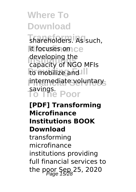**Transforming** shareholders. As such, **Microfinance** it focuses on **Institutions** capacity of NGO MFIs **Providing Full** to mobilize and intermediate voluntary **To The Poor** savings. developing the

#### **[PDF] Transforming Microfinance Institutions BOOK Download** transforming microfinance institutions providing full financial services to

the poor Sep  $25$ , 2020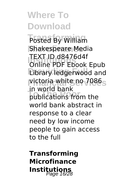**Transforming** Posted By William **Shakespeare Media Institutions** Online PDF Ebook Epub **Library ledgerwood** and **Financial Services** victoria white no 7086 **To The Poor** publications from the TEXT ID d8476d4f in world bank world bank abstract in response to a clear need by low income people to gain access to the full

**Transforming Microfinance Institutions** Page 16/28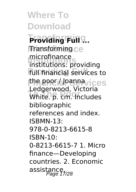**Where To Download Transforming Providing Full ... Microfinance** Transforming **Institutions** institutions: providing **Full financial** services to **the poor / Joanna**vices **Todge Mood, Victoria** microfinance Ledgerwood, Victoria bibliographic references and index. ISBMN-13: 978-0-8213-6615-8 ISBN-10: 0-8213-6615-7 1. Micro finance—Developing countries. 2. Economic assistance,<br>Page 17/28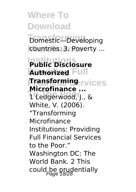**Transforming** Domestic—Developing countries. 3. Poverty ...

**Institutions Public Disclosure Authorized** Full **Financial Services Transforming To The Poor** 1 Ledgerwood, J., & **Microfinance ...** White, V. (2006). "Transforming Microfinance Institutions: Providing Full Financial Services to the Poor." Washington DC: The World Bank. 2 This could be prudentially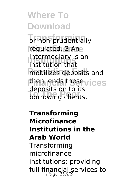**Transforming** or non-prudentially **Microfinance** regulated. 3 An **Intermediary is an**<br>institution that mobilizes deposits and **then lends these**vices **To The Poor** borrowing clients. institution that deposits on to its

**Transforming Microfinance Institutions in the Arab World Transforming** microfinance institutions: providing full financial services to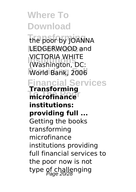**Where To Download Transforming** the poor by JOANNA LEDGERWOOD and **VICTORIA WHITE**<br>(Washington, DC: **World Bank, 2006 Financial Services microfinance** VICTORIA WHITE **Transforming institutions: providing full ...** Getting the books transforming microfinance institutions providing full financial services to the poor now is not type of challenging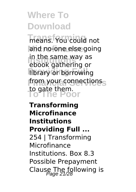**Transforming** means. You could not and no-one else going **Institutions** ebook gathering or **library or borrowing** from your connections **To The Poor** to gate them. in the same way as

**Transforming Microfinance Institutions Providing Full ...** 254 | Transforming Microfinance Institutions. Box 8.3 Possible Prepayment Clause The following is  $\frac{P_{\text{Page 21/28}}}{P_{\text{Page 21/28}}$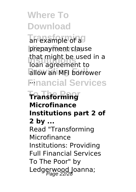**Thexample of a** prepayment clause **Institutions** that might be used in a allow an MFI borrower **Financial Services** ... loan agreement to

### **To The Poor Transforming Microfinance Institutions part 2 of 2 by ...** Read "Transforming Microfinance Institutions: Providing Full Financial Services To The Poor" by Ledgerwood Joanna;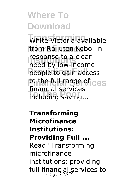White Victoria available from Rakuten Kobo. In **Institutions** need by low-income people to gain access **to the full range of ces The Reading Sciences** response to a clear financial services

**Transforming Microfinance Institutions: Providing Full ...** Read "Transforming microfinance institutions: providing full financial services to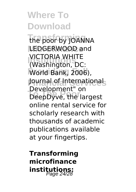**Transforming** the poor by JOANNA LEDGERWOOD and **VICTORIA WHITE**<br>(Washington, DC: World Bank, 2006), **Journal of Internationals The Poole**<br>
DeepDyve, the largest VICTORIA WHITE Development" on online rental service for scholarly research with thousands of academic publications available at your fingertips.

**Transforming microfinance institutions:** Page 24/28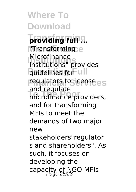**Where To Download providing full 9. Microfinance** "Transforming **Institutions** Institutions" provides **guidelines** for **ull** regulators to license es microfinance providers, Microfinance and regulate and for transforming MFIs to meet the demands of two major new stakeholders"regulator s and shareholders". As such, it focuses on developing the capacity of NGO MFIs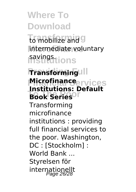to mobilize and 9 **Microfinance** intermediate voluntary **Institutions** savings.

### **Pransforming Microfinance** ervices **To The Poor Book Series Institutions: Default**

Transforming microfinance institutions : providing full financial services to the poor. Washington, DC : [Stockholm] : World Bank ... Styrelsen för internationellt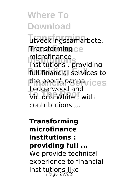**Transforming** utvecklingssamarbete. **Microfinance** Transforming **Institutions** institutions : providing **Full financial services to Financial Services** the poor / Joanna **The Pool**<br>
Victoria White ; with microfinance Ledgerwood and contributions ...

**Transforming microfinance institutions : providing full ...** We provide technical experience to financial institutions like